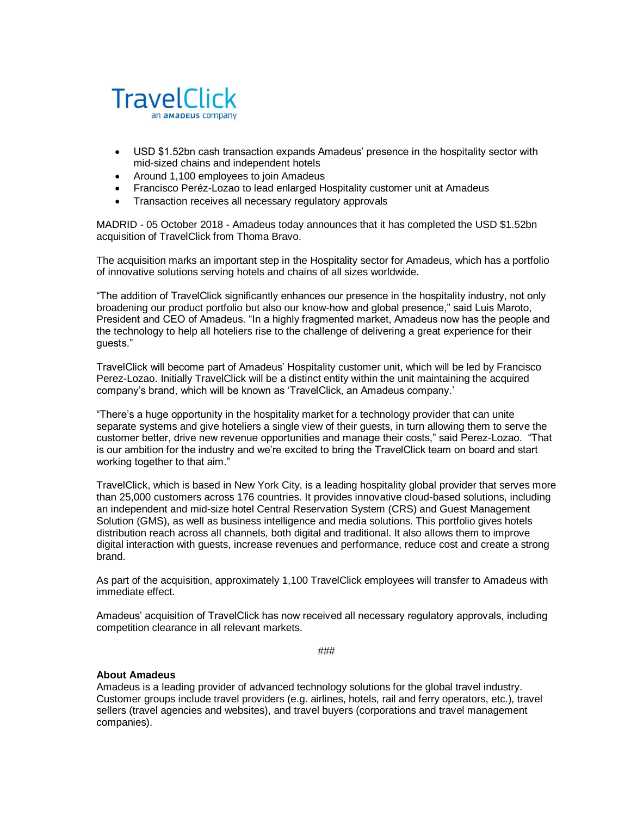

- USD \$1.52bn cash transaction expands Amadeus' presence in the hospitality sector with mid-sized chains and independent hotels
- Around 1,100 employees to join Amadeus
- Francisco Peréz-Lozao to lead enlarged Hospitality customer unit at Amadeus
- Transaction receives all necessary regulatory approvals

MADRID - 05 October 2018 - Amadeus today announces that it has completed the USD \$1.52bn acquisition of TravelClick from Thoma Bravo.

The acquisition marks an important step in the Hospitality sector for Amadeus, which has a portfolio of innovative solutions serving hotels and chains of all sizes worldwide.

"The addition of TravelClick significantly enhances our presence in the hospitality industry, not only broadening our product portfolio but also our know-how and global presence," said Luis Maroto, President and CEO of Amadeus. "In a highly fragmented market, Amadeus now has the people and the technology to help all hoteliers rise to the challenge of delivering a great experience for their guests."

TravelClick will become part of Amadeus' Hospitality customer unit, which will be led by Francisco Perez-Lozao. Initially TravelClick will be a distinct entity within the unit maintaining the acquired company's brand, which will be known as 'TravelClick, an Amadeus company.'

"There's a huge opportunity in the hospitality market for a technology provider that can unite separate systems and give hoteliers a single view of their guests, in turn allowing them to serve the customer better, drive new revenue opportunities and manage their costs," said Perez-Lozao. "That is our ambition for the industry and we're excited to bring the TravelClick team on board and start working together to that aim."

TravelClick, which is based in New York City, is a leading hospitality global provider that serves more than 25,000 customers across 176 countries. It provides innovative cloud-based solutions, including an independent and mid-size hotel Central Reservation System (CRS) and Guest Management Solution (GMS), as well as business intelligence and media solutions. This portfolio gives hotels distribution reach across all channels, both digital and traditional. It also allows them to improve digital interaction with guests, increase revenues and performance, reduce cost and create a strong brand.

As part of the acquisition, approximately 1,100 TravelClick employees will transfer to Amadeus with immediate effect.

Amadeus' acquisition of TravelClick has now received all necessary regulatory approvals, including competition clearance in all relevant markets.

###

## **About Amadeus**

Amadeus is a leading provider of advanced technology solutions for the global travel industry. Customer groups include travel providers (e.g. airlines, hotels, rail and ferry operators, etc.), travel sellers (travel agencies and websites), and travel buyers (corporations and travel management companies).